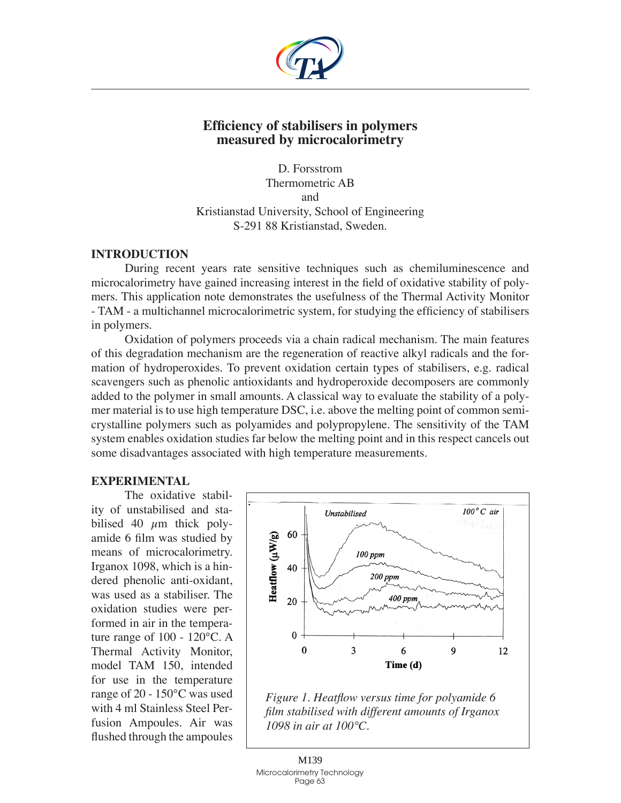

## **Efficiency of stabilisers in polymers measured by microcalorimetry**

D. Forsstrom Thermometric AB and Kristianstad University, School of Engineering S-291 88 Kristianstad, Sweden.

### **Introduction**

During recent years rate sensitive techniques such as chemiluminescence and microcalorimetry have gained increasing interest in the field of oxidative stability of polymers. This application note demonstrates the usefulness of the Thermal Activity Monitor - TAM - a multichannel microcalorimetric system, for studying the efficiency of stabilisers in polymers.

Oxidation of polymers proceeds via a chain radical mechanism. The main features of this degradation mechanism are the regeneration of reactive alkyl radicals and the formation of hydroperoxides. To prevent oxidation certain types of stabilisers, e.g. radical scavengers such as phenolic antioxidants and hydroperoxide decomposers are commonly added to the polymer in small amounts. A classical way to evaluate the stability of a polymer material is to use high temperature DSC, i.e. above the melting point of common semicrystalline polymers such as polyamides and polypropylene. The sensitivity of the TAM system enables oxidation studies far below the melting point and in this respect cancels out some disadvantages associated with high temperature measurements.

## **Experimental**

The oxidative stability of unstabilised and stabilised 40  $\mu$ m thick polyamide 6 film was studied by means of microcalorimetry. Irganox 1098, which is a hindered phenolic anti-oxidant, was used as a stabiliser. The oxidation studies were performed in air in the temperature range of 100 - 120°C. A Thermal Activity Monitor, model TAM 150, intended for use in the temperature range of 20 - 150°C was used with 4 ml Stainless Steel Perfusion Ampoules. Air was flushed through the ampoules



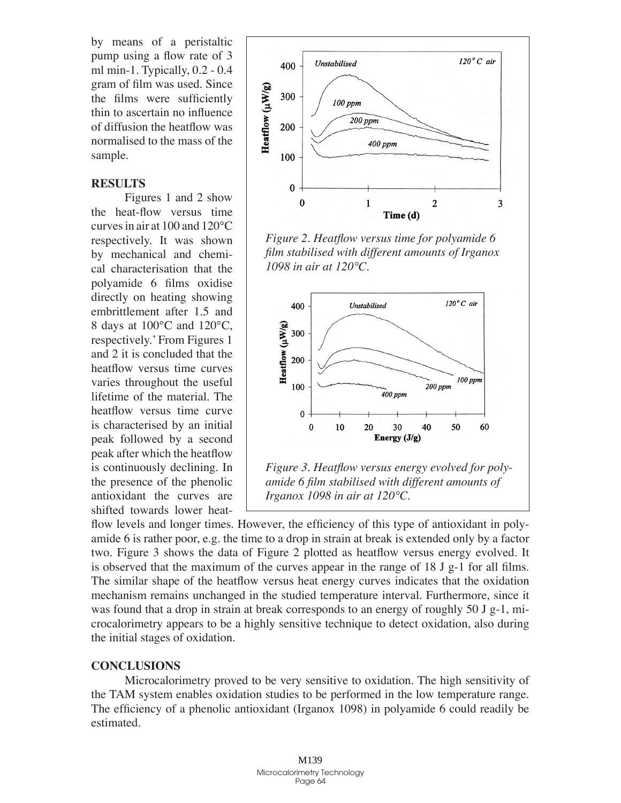by means of a peristaltic pump using a flow rate of 3 ml min-1. Typically,  $0.2 - 0.4$ gram of film was used. Since the films were sufficiently thin to ascertain no influence of diffusion the heatflow was normalised to the mass of the sample.

#### **Results**

Figures 1 and 2 show the heat-flow versus time curves in air at 100 and 120°C respectively. It was shown by mechanical and chemical characterisation that the polyamide 6 films oxidise directly on heating showing embrittlement after 1.5 and 8 days at 100°C and 120°C, respectively.' From Figures 1 and 2 it is concluded that the heatflow versus time curves varies throughout the useful lifetime of the material. The heatflow versus time curve is characterised by an initial peak followed by a second peak after which the heatflow is continuously declining. In the presence of the phenolic antioxidant the curves are shifted towards lower heat-



*Figure 2. Heatflow versus time for polyamide 6 film stabilised with different amounts of Irganox 1098 in air at 120°C.*



flow levels and longer times. However, the efficiency of this type of antioxidant in polyamide 6 is rather poor, e.g. the time to a drop in strain at break is extended only by a factor two. Figure 3 shows the data of Figure 2 plotted as heatflow versus energy evolved. It is observed that the maximum of the curves appear in the range of 18 J g-1 for all films. The similar shape of the heatflow versus heat energy curves indicates that the oxidation mechanism remains unchanged in the studied temperature interval. Furthermore, since it was found that a drop in strain at break corresponds to an energy of roughly 50 J g-1, microcalorimetry appears to be a highly sensitive technique to detect oxidation, also during the initial stages of oxidation.

#### **Conclusions**

Microcalorimetry proved to be very sensitive to oxidation. The high sensitivity of the TAM system enables oxidation studies to be performed in the low temperature range. The efficiency of a phenolic antioxidant (Irganox 1098) in polyamide 6 could readily be estimated.